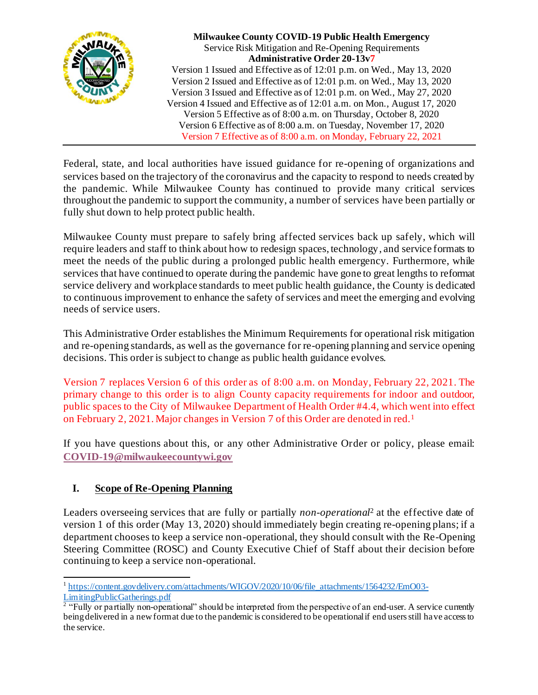

**Milwaukee County COVID-19 Public Health Emergency** Service Risk Mitigation and Re-Opening Requirements **Administrative Order 20-13v7** Version 1 Issued and Effective as of 12:01 p.m. on Wed., May 13, 2020 Version 2 Issued and Effective as of 12:01 p.m. on Wed., May 13, 2020 Version 3 Issued and Effective as of 12:01 p.m. on Wed., May 27, 2020 Version 4 Issued and Effective as of 12:01 a.m. on Mon., August 17, 2020 Version 5 Effective as of 8:00 a.m. on Thursday, October 8, 2020 Version 6 Effective as of 8:00 a.m. on Tuesday, November 17, 2020 Version 7 Effective as of 8:00 a.m. on Monday, February 22, 2021

Federal, state, and local authorities have issued guidance for re-opening of organizations and services based on the trajectory of the coronavirus and the capacity to respond to needs created by the pandemic. While Milwaukee County has continued to provide many critical services throughout the pandemic to support the community, a number of services have been partially or fully shut down to help protect public health.

Milwaukee County must prepare to safely bring affected services back up safely, which will require leaders and staff to think about how to redesign spaces, technology, and service formats to meet the needs of the public during a prolonged public health emergency. Furthermore, while services that have continued to operate during the pandemic have gone to great lengths to reformat service delivery and workplace standards to meet public health guidance, the County is dedicated to continuous improvement to enhance the safety of services and meet the emerging and evolving needs of service users.

This Administrative Order establishes the Minimum Requirements for operational risk mitigation and re-opening standards, as well as the governance for re-opening planning and service opening decisions. This order is subject to change as public health guidance evolves.

Version 7 replaces Version 6 of this order as of 8:00 a.m. on Monday, February 22, 2021. The primary change to this order is to align County capacity requirements for indoor and outdoor, public spaces to the City of Milwaukee Department of Health Order #4.4, which went into effect on February 2, 2021. Major changes in Version 7 of this Order are denoted in red.<sup>1</sup>

If you have questions about this, or any other Administrative Order or policy, please email: **[COVID-19@milwaukeecountywi.gov](mailto:COVID-19@milwaukeecountywi.gov)**

## **I. Scope of Re-Opening Planning**

Leaders overseeing services that are fully or partially *non-operational*<sup>2</sup> at the effective date of version 1 of this order (May 13, 2020) should immediately begin creating re-opening plans; if a department chooses to keep a service non-operational, they should consult with the Re-Opening Steering Committee (ROSC) and County Executive Chief of Staff about their decision before continuing to keep a service non-operational.

<sup>&</sup>lt;sup>1</sup> [https://content.govdelivery.com/attachments/WIGOV/2020/10/06/file\\_attachments/1564232/EmO03-](https://content.govdelivery.com/attachments/WIGOV/2020/10/06/file_attachments/1564232/EmO03-LimitingPublicGatherings.pdf)

[LimitingPublicGatherings.pdf](https://content.govdelivery.com/attachments/WIGOV/2020/10/06/file_attachments/1564232/EmO03-LimitingPublicGatherings.pdf)<br><sup>2</sup> "Fully or partially non-operational" should be interpreted from the perspective of an end-user. A service currently being delivered in a new format due to the pandemic is considered to be operational if end users still have access to the service.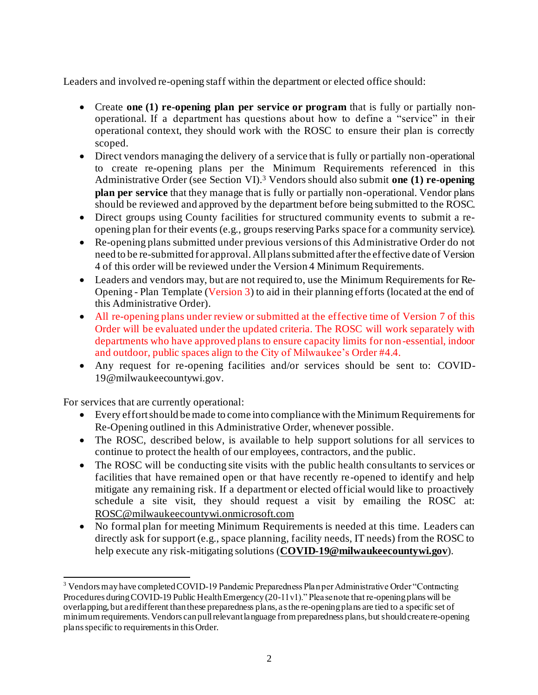Leaders and involved re-opening staff within the department or elected office should:

- Create **one (1) re-opening plan per service or program** that is fully or partially nonoperational. If a department has questions about how to define a "service" in their operational context, they should work with the ROSC to ensure their plan is correctly scoped.
- Direct vendors managing the delivery of a service that is fully or partially non-operational to create re-opening plans per the Minimum Requirements referenced in this Administrative Order (see Section VI). <sup>3</sup> Vendors should also submit **one (1) re-opening plan per service** that they manage that is fully or partially non-operational. Vendor plans should be reviewed and approved by the department before being submitted to the ROSC.
- Direct groups using County facilities for structured community events to submit a reopening plan for their events (e.g., groups reserving Parks space for a community service).
- Re-opening plans submitted under previous versions of this Administrative Order do not need to be re-submitted for approval. All plans submitted after the effective date of Version 4 of this order will be reviewed under the Version 4 Minimum Requirements.
- Leaders and vendors may, but are not required to, use the Minimum Requirements for Re-Opening - Plan Template (Version 3) to aid in their planning efforts (located at the end of this Administrative Order).
- All re-opening plans under review or submitted at the effective time of Version 7 of this Order will be evaluated under the updated criteria. The ROSC will work separately with departments who have approved plans to ensure capacity limits for non-essential, indoor and outdoor, public spaces align to the City of Milwaukee's Order #4.4.
- Any request for re-opening facilities and/or services should be sent to: COVID-19@milwaukeecountywi.gov.

For services that are currently operational:

- Every effort should be made to come into compliance with the Minimum Requirements for Re-Opening outlined in this Administrative Order, whenever possible.
- The ROSC, described below, is available to help support solutions for all services to continue to protect the health of our employees, contractors, and the public.
- The ROSC will be conducting site visits with the public health consultants to services or facilities that have remained open or that have recently re-opened to identify and help mitigate any remaining risk. If a department or elected official would like to proactively schedule a site visit, they should request a visit by emailing the ROSC at: [ROSC@milwaukeecountywi.onmicrosoft.com](mailto:ROSC@milwaukeecountywi.onmicrosoft.com)
- No formal plan for meeting Minimum Requirements is needed at this time. Leaders can directly ask for support (e.g., space planning, facility needs, IT needs) from the ROSC to help execute any risk-mitigating solutions (**[COVID-19@milwaukeecountywi.gov](mailto:COVID-19@milwaukeecountywi.gov)**).

<sup>3</sup> Vendors may have completed COVID-19 Pandemic Preparedness Plan per Administrative Order "Contracting Procedures during COVID-19 Public Health Emergency (20-11v1)." Please note that re-opening plans will be overlapping, but are different than these preparedness plans, as the re-opening plans are tied to a specific set of minimum requirements. Vendors can pull relevant language from preparedness plans, but should create re-opening plans specific to requirements in this Order.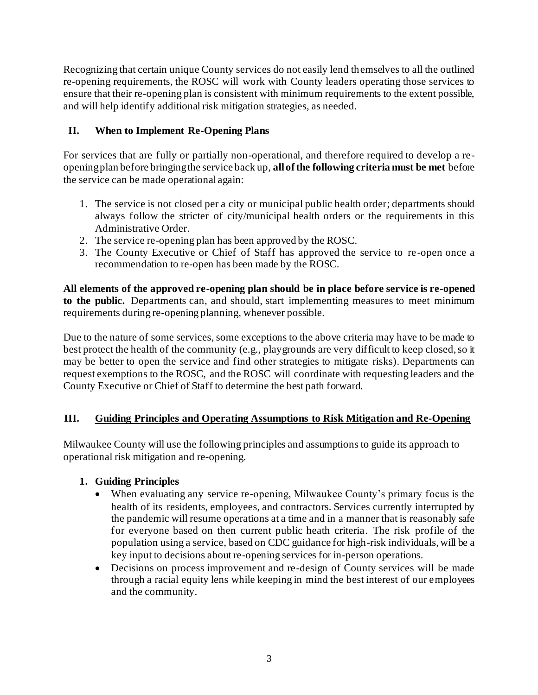Recognizing that certain unique County services do not easily lend themselves to all the outlined re-opening requirements, the ROSC will work with County leaders operating those services to ensure that their re-opening plan is consistent with minimum requirements to the extent possible, and will help identify additional risk mitigation strategies, as needed.

## **II. When to Implement Re-Opening Plans**

For services that are fully or partially non-operational, and therefore required to develop a reopening plan before bringing the service back up, **all of the following criteria must be met** before the service can be made operational again:

- 1. The service is not closed per a city or municipal public health order; departments should always follow the stricter of city/municipal health orders or the requirements in this Administrative Order.
- 2. The service re-opening plan has been approved by the ROSC.
- 3. The County Executive or Chief of Staff has approved the service to re -open once a recommendation to re-open has been made by the ROSC.

**All elements of the approved re-opening plan should be in place before service is re-opened to the public.** Departments can, and should, start implementing measures to meet minimum requirements during re-opening planning, whenever possible.

Due to the nature of some services, some exceptions to the above criteria may have to be made to best protect the health of the community (e.g., playgrounds are very difficult to keep closed, so it may be better to open the service and find other strategies to mitigate risks). Departments can request exemptions to the ROSC, and the ROSC will coordinate with requesting leaders and the County Executive or Chief of Staff to determine the best path forward.

## **III. Guiding Principles and Operating Assumptions to Risk Mitigation and Re-Opening**

Milwaukee County will use the following principles and assumptions to guide its approach to operational risk mitigation and re-opening.

## **1. Guiding Principles**

- When evaluating any service re-opening, Milwaukee County's primary focus is the health of its residents, employees, and contractors. Services currently interrupted by the pandemic will resume operations at a time and in a manner that is reasonably safe for everyone based on then current public heath criteria. The risk profile of the population using a service, based on CDC guidance for high-risk individuals, will be a key input to decisions about re-opening services for in-person operations.
- Decisions on process improvement and re-design of County services will be made through a racial equity lens while keeping in mind the best interest of our employees and the community.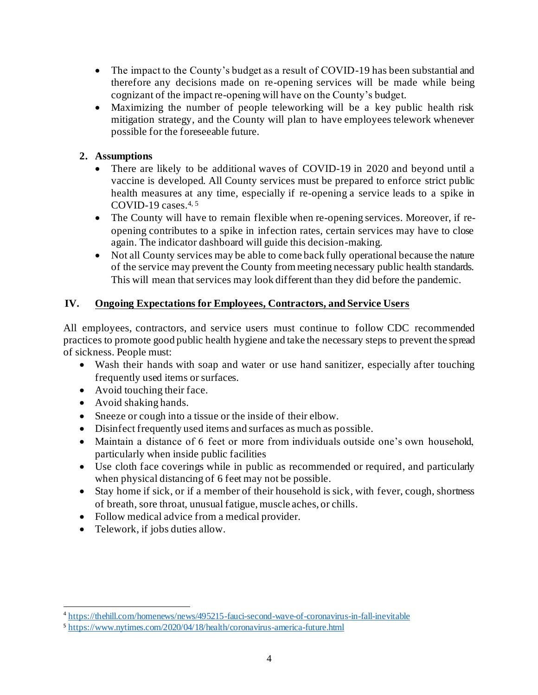- The impact to the County's budget as a result of COVID-19 has been substantial and therefore any decisions made on re-opening services will be made while being cognizant of the impact re-opening will have on the County's budget.
- Maximizing the number of people teleworking will be a key public health risk mitigation strategy, and the County will plan to have employees telework whenever possible for the foreseeable future.

## **2. Assumptions**

- There are likely to be additional waves of COVID-19 in 2020 and beyond until a vaccine is developed. All County services must be prepared to enforce strict public health measures at any time, especially if re-opening a service leads to a spike in COVID-19 cases.  $4, 5$
- The County will have to remain flexible when re-opening services. Moreover, if reopening contributes to a spike in infection rates, certain services may have to close again. The indicator dashboard will guide this decision-making.
- Not all County services may be able to come back fully operational because the nature of the service may prevent the County from meeting necessary public health standards. This will mean that services may look different than they did before the pandemic.

## **IV. Ongoing Expectations for Employees, Contractors, and Service Users**

All employees, contractors, and service users must continue to follow CDC recommended practices to promote good public health hygiene and take the necessary steps to prevent the spread of sickness. People must:

- Wash their hands with soap and water or use hand sanitizer, especially after touching frequently used items or surfaces.
- Avoid touching their face.
- Avoid shaking hands.
- Sneeze or cough into a tissue or the inside of their elbow.
- Disinfect frequently used items and surfaces as much as possible.
- Maintain a distance of 6 feet or more from individuals outside one's own household, particularly when inside public facilities
- Use cloth face coverings while in public as recommended or required, and particularly when physical distancing of 6 feet may not be possible.
- Stay home if sick, or if a member of their household is sick, with fever, cough, shortness of breath, sore throat, unusual fatigue, muscle aches, or chills.
- Follow medical advice from a medical provider.
- Telework, if jobs duties allow.

<sup>4</sup> <https://thehill.com/homenews/news/495215-fauci-second-wave-of-coronavirus-in-fall-inevitable>

<sup>5</sup> <https://www.nytimes.com/2020/04/18/health/coronavirus-america-future.html>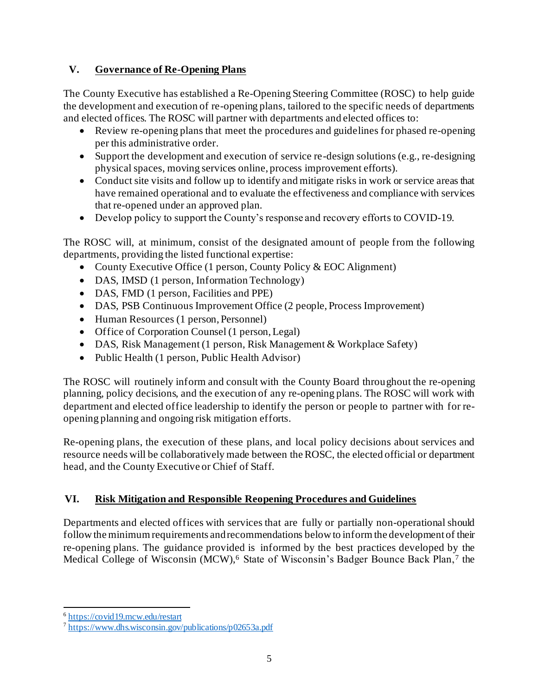## **V. Governance of Re-Opening Plans**

The County Executive has established a Re-Opening Steering Committee (ROSC) to help guide the development and execution of re-opening plans, tailored to the specific needs of departments and elected offices. The ROSC will partner with departments and elected offices to:

- Review re-opening plans that meet the procedures and guidelines for phased re-opening per this administrative order.
- Support the development and execution of service re-design solutions (e.g., re-designing physical spaces, moving services online, process improvement efforts).
- Conduct site visits and follow up to identify and mitigate risks in work or service areas that have remained operational and to evaluate the effectiveness and compliance with services that re-opened under an approved plan.
- Develop policy to support the County's response and recovery efforts to COVID-19.

The ROSC will, at minimum, consist of the designated amount of people from the following departments, providing the listed functional expertise:

- County Executive Office (1 person, County Policy & EOC Alignment)
- DAS, IMSD (1 person, Information Technology)
- DAS, FMD (1 person, Facilities and PPE)
- DAS, PSB Continuous Improvement Office (2 people, Process Improvement)
- Human Resources (1 person, Personnel)
- Office of Corporation Counsel (1 person, Legal)
- DAS, Risk Management (1 person, Risk Management & Workplace Safety)
- Public Health (1 person, Public Health Advisor)

The ROSC will routinely inform and consult with the County Board throughout the re-opening planning, policy decisions, and the execution of any re-opening plans. The ROSC will work with department and elected office leadership to identify the person or people to partner with for reopening planning and ongoing risk mitigation efforts.

Re-opening plans, the execution of these plans, and local policy decisions about services and resource needs will be collaboratively made between the ROSC, the elected official or department head, and the County Executive or Chief of Staff.

## **VI. Risk Mitigation and Responsible Reopening Procedures and Guidelines**

Departments and elected offices with services that are fully or partially non-operational should follow the minimum requirements and recommendations below to inform the development of their re-opening plans. The guidance provided is informed by the best practices developed by the Medical College of Wisconsin (MCW),<sup>6</sup> State of Wisconsin's Badger Bounce Back Plan,<sup>7</sup> the

<sup>&</sup>lt;sup>6</sup> <https://covid19.mcw.edu/restart>

<sup>&</sup>lt;sup>7</sup> <https://www.dhs.wisconsin.gov/publications/p02653a.pdf>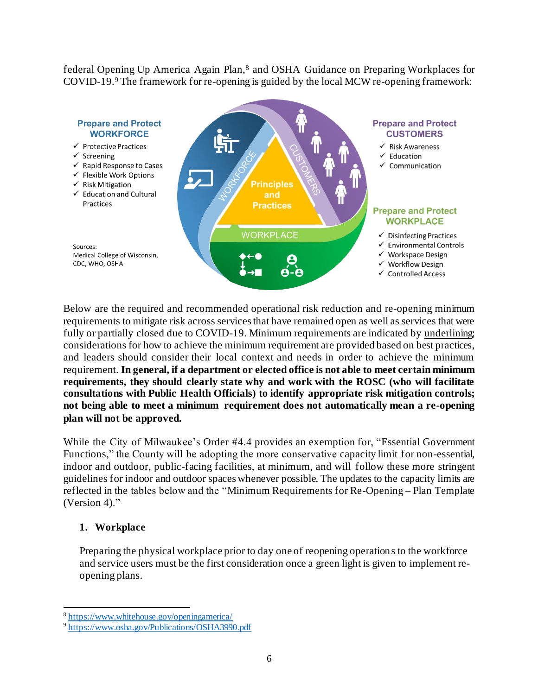federal Opening Up America Again Plan,<sup>8</sup> and OSHA Guidance on Preparing Workplaces for COVID-19.<sup>9</sup> The framework for re-opening is guided by the local MCW re-opening framework:



Below are the required and recommended operational risk reduction and re-opening minimum requirements to mitigate risk across services that have remained open as well as services that were fully or partially closed due to COVID-19. Minimum requirements are indicated by underlining; considerations for how to achieve the minimum requirement are provided based on best practices, and leaders should consider their local context and needs in order to achieve the minimum requirement. **In general, if a department or elected office is not able to meet certain minimum requirements, they should clearly state why and work with the ROSC (who will facilitate consultations with Public Health Officials) to identify appropriate risk mitigation controls; not being able to meet a minimum requirement does not automatically mean a re-opening plan will not be approved.** 

While the City of Milwaukee's Order #4.4 provides an exemption for, "Essential Government Functions," the County will be adopting the more conservative capacity limit for non-essential, indoor and outdoor, public-facing facilities, at minimum, and will follow these more stringent guidelines for indoor and outdoor spaces whenever possible. The updates to the capacity limits are reflected in the tables below and the "Minimum Requirements for Re-Opening – Plan Template (Version 4)."

#### **1. Workplace**

Preparing the physical workplace prior to day one of reopening operations to the workforce and service users must be the first consideration once a green light is given to implement reopening plans.

<sup>8</sup> <https://www.whitehouse.gov/openingamerica/>

<sup>&</sup>lt;sup>9</sup><https://www.osha.gov/Publications/OSHA3990.pdf>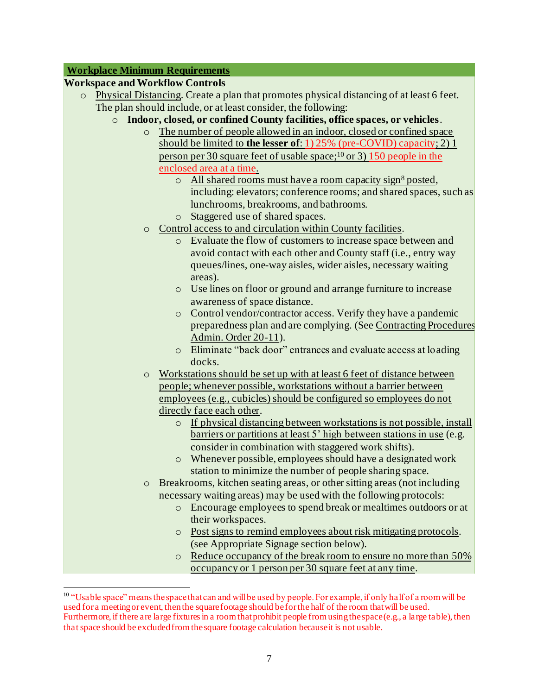#### **Workplace Minimum Requirements**

#### **Workspace and Workflow Controls**

- o Physical Distancing. Create a plan that promotes physical distancing of at least 6 feet. The plan should include, or at least consider, the following:
	- o **Indoor, closed, or confined County facilities, office spaces, or vehicles**.
		- o The number of people allowed in an indoor, closed or confined space should be limited to **the lesser of**: 1) 25% (pre-COVID) capacity; 2) 1 person per 30 square feet of usable space;<sup>10</sup> or 3) 150 people in the enclosed area at a time.
			- $\circ$  All shared rooms must have a [room capacity sign](https://countyconnect.milwaukeecountywi.gov/New---County-Intranet-Files/COVID19/CoronavirusRoomCapacitySignREV031520.pdf)<sup>8</sup> posted, including: elevators; conference rooms; and shared spaces, such as lunchrooms, breakrooms, and bathrooms.
			- o Staggered use of shared spaces.
		- o Control access to and circulation within County facilities.
			- o Evaluate the flow of customers to increase space between and avoid contact with each other and County staff (i.e., entry way queues/lines, one-way aisles, wider aisles, necessary waiting areas).
			- o Use lines on floor or ground and arrange furniture to increase awareness of space distance.
			- o Control vendor/contractor access. Verify they have a pandemic preparedness plan and are complying. (Se[e Contracting Procedures](https://countyconnect.milwaukeecountywi.gov/files/county/COVID-19/ContractingProceduresduringCOVID-19PublicHealthEmergency20-11v1.pdf)  [Admin. Order 20-11](https://countyconnect.milwaukeecountywi.gov/files/county/COVID-19/ContractingProceduresduringCOVID-19PublicHealthEmergency20-11v1.pdf)).
			- o Eliminate "back door" entrances and evaluate access at loading docks.
		- o Workstations should be set up with at least 6 feet of distance between people; whenever possible, workstations without a barrier between employees (e.g., cubicles) should be configured so employees do not directly face each other.
			- o If physical distancing between workstations is not possible, install barriers or partitions at least 5' high between stations in use (e.g. consider in combination with staggered work shifts).
			- o Whenever possible, employees should have a designated work station to minimize the number of people sharing space.
		- o Breakrooms, kitchen seating areas, or other sitting areas (not including necessary waiting areas) may be used with the following protocols:
			- o Encourage employees to spend break or mealtimes outdoors or at their workspaces.
			- o Post signs to remind employees about risk mitigating protocols. (see Appropriate Signage section below).
			- o Reduce occupancy of the break room to ensure no more than 50% occupancy or 1 person per 30 square feet at any time.

 $10$  "Usable space" means the space that can and will be used by people. For example, if only half of a room will be used for a meeting or event, then the square footage should befor the half of the room that will be used. Furthermore, if there are large fixtures in a room that prohibit people from using the space (e.g., a large table), then that space should be excluded from the square footage calculation because it is not usable.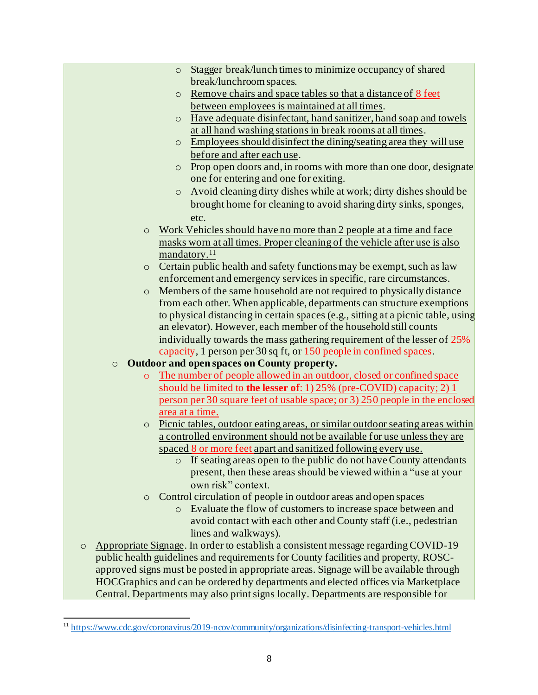- o Stagger break/lunch times to minimize occupancy of shared break/lunchroom spaces.
- o Remove chairs and space tables so that a distance of 8 feet between employees is maintained at all times.
- o Have adequate disinfectant, hand sanitizer, hand soap and towels at all hand washing stations in break rooms at all times.
- o Employees should disinfect the dining/seating area they will use before and after each use.
- o Prop open doors and, in rooms with more than one door, designate one for entering and one for exiting.
- o Avoid cleaning dirty dishes while at work; dirty dishes should be brought home for cleaning to avoid sharing dirty sinks, sponges, etc.
- o Work Vehicles should have no more than 2 people at a time and face masks worn at all times. Proper cleaning of the vehicle after use is also mandatory.<sup>11</sup>
- o Certain public health and safety functions may be exempt, such as law enforcement and emergency services in specific, rare circumstances.
- o Members of the same household are not required to physically distance from each other. When applicable, departments can structure exemptions to physical distancing in certain spaces (e.g., sitting at a picnic table, using an elevator). However, each member of the household still counts individually towards the mass gathering requirement of the lesser of 25% capacity, 1 person per 30 sq ft, or 150 people in confined spaces.
- o **Outdoor and open spaces on County property.**
	- o The number of people allowed in an outdoor, closed or confined space should be limited to **the lesser of**: 1) 25% (pre-COVID) capacity; 2) 1 person per 30 square feet of usable space; or 3) 250 people in the enclosed area at a time.
	- o Picnic tables, outdoor eating areas, or similar outdoor seating areas within a controlled environment should not be available for use unless they are spaced 8 or more feet apart and sanitized following every use.
		- o If seating areas open to the public do not have County attendants present, then these areas should be viewed within a "use at your own risk" context.
	- o Control circulation of people in outdoor areas and open spaces
		- o Evaluate the flow of customers to increase space between and avoid contact with each other and County staff (i.e., pedestrian lines and walkways).
- o Appropriate Signage. In order to establish a consistent message regarding COVID-19 public health guidelines and requirements for County facilities and property, ROSCapproved signs must be posted in appropriate areas. Signage will be available through HOCGraphics and can be ordered by departments and elected offices via Marketplace Central. Departments may also print signs locally. Departments are responsible for

<sup>11</sup> <https://www.cdc.gov/coronavirus/2019-ncov/community/organizations/disinfecting-transport-vehicles.html>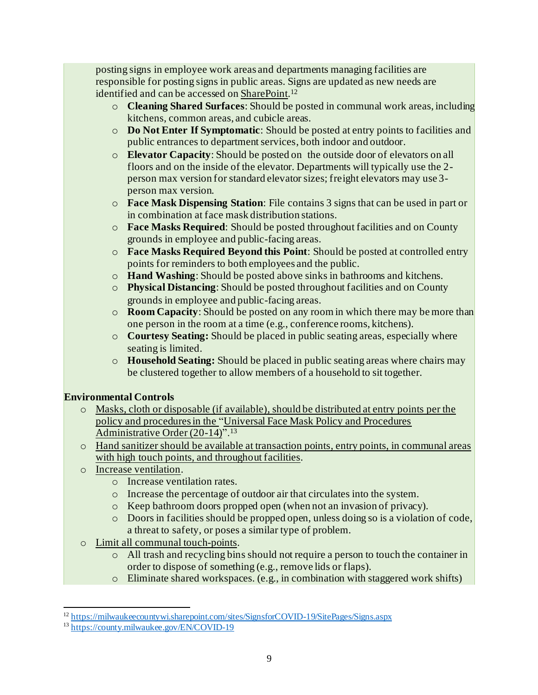posting signs in employee work areas and departments managing facilities are responsible for posting signs in public areas. Signs are updated as new needs are identified and can be accessed o[n SharePoint](https://milwaukeecountywi.sharepoint.com/sites/SignsforCOVID-19/SitePages/Signs.aspx).<sup>12</sup>

- o **Cleaning Shared Surfaces**: Should be posted in communal work areas, including kitchens, common areas, and cubicle areas.
- o **Do Not Enter If Symptomatic**: Should be posted at entry points to facilities and public entrances to department services, both indoor and outdoor.
- o **Elevator Capacity**: Should be posted on the outside door of elevators on all floors and on the inside of the elevator. Departments will typically use the 2 person max version for standard elevator sizes; freight elevators may use 3 person max version.
- o **Face Mask Dispensing Station**: File contains 3 signs that can be used in part or in combination at face mask distribution stations.
- o **Face Masks Required**: Should be posted throughout facilities and on County grounds in employee and public-facing areas.
- o **Face Masks Required Beyond this Point**: Should be posted at controlled entry points for reminders to both employees and the public.
- o **Hand Washing**: Should be posted above sinks in bathrooms and kitchens.
- o **Physical Distancing**: Should be posted throughout facilities and on County grounds in employee and public-facing areas.
- o **Room Capacity**: Should be posted on any room in which there may be more than one person in the room at a time (e.g., conference rooms, kitchens).
- o **Courtesy Seating:** Should be placed in public seating areas, especially where seating is limited.
- o **Household Seating:** Should be placed in public seating areas where chairs may be clustered together to allow members of a household to sit together.

## **Environmental Controls**

- o Masks, cloth or disposable (if available), should be distributed at entry points per the policy and procedures in the ["Universal Face Mask Policy and Procedures](https://county.milwaukee.gov/EN/COVID-19)  [Administrative Order \(20-14\)](https://county.milwaukee.gov/EN/COVID-19)".<sup>13</sup>
- o Hand sanitizer should be available at transaction points, entry points, in communal areas with high touch points, and throughout facilities.
- o Increase ventilation.
	- o Increase ventilation rates.
	- o Increase the percentage of outdoor air that circulates into the system.
	- o Keep bathroom doors propped open (when not an invasion of privacy).
	- $\circ$  Doors in facilities should be propped open, unless doing so is a violation of code, a threat to safety, or poses a similar type of problem.
- o Limit all communal touch-points.
	- o All trash and recycling bins should not require a person to touch the container in order to dispose of something (e.g., remove lids or flaps).
	- o Eliminate shared workspaces. (e.g., in combination with staggered work shifts)

<sup>12</sup> <https://milwaukeecountywi.sharepoint.com/sites/SignsforCOVID-19/SitePages/Signs.aspx>

<sup>13</sup> <https://county.milwaukee.gov/EN/COVID-19>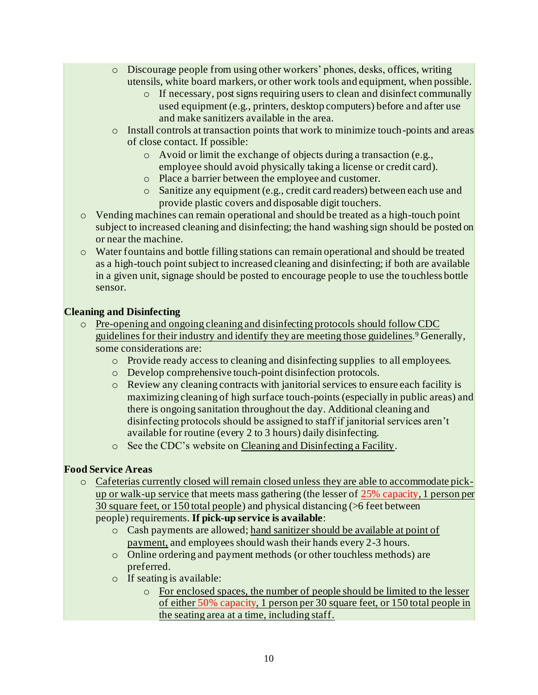- o Discourage people from using other workers' phones, desks, offices, writing utensils, white board markers, or other work tools and equipment, when possible.
	- o If necessary, post signs requiring users to clean and disinfect communally used equipment (e.g., printers, desktop computers) before and after use and make sanitizers available in the area.
- o Install controls at transaction points that work to minimize touch-points and areas of close contact. If possible:
	- o Avoid or limit the exchange of objects during a transaction (e.g., employee should avoid physically taking a license or credit card).
	- o Place a barrier between the employee and customer.
	- o Sanitize any equipment (e.g., credit card readers) between each use and provide plastic covers and disposable digit touchers.
- o Vending machines can remain operational and should be treated as a high-touch point subject to increased cleaning and disinfecting; the hand washing sign should be posted on or near the machine.
- o Water fountains and bottle filling stations can remain operational and should be treated as a high-touch point subject to increased cleaning and disinfecting; if both are available in a given unit, signage should be posted to encourage people to use the touchless bottle sensor.

#### **Cleaning and Disinfecting**

- o Pre-opening and ongoing cleaning and disinfecting protocols should follow CDC guidelines for their industry and identify they are meeting those guidelines. <sup>9</sup> Generally, some considerations are:
	- o Provide ready access to cleaning and disinfecting supplies to all employees.
	- o Develop comprehensive touch-point disinfection protocols.
	- o Review any cleaning contracts with janitorial services to ensure each facility is maximizing cleaning of high surface touch-points (especially in public areas) and there is ongoing sanitation throughout the day. Additional cleaning and disinfecting protocols should be assigned to staff if janitorial services aren't available for routine (every 2 to 3 hours) daily disinfecting.
	- o See the CDC's website o[n Cleaning and Disinfecting a Facility.](https://www.cdc.gov/coronavirus/2019-ncov/community/disinfecting-building-facility.html)

#### **Food Service Areas**

- o Cafeterias currently closed will remain closed unless they are able to accommodate pickup or walk-up service that meets mass gathering (the lesser of 25% capacity, 1 person per 30 square feet, or 150 total people) and physical distancing (>6 feet between people) requirements. **If pick-up service is available**:
	- o Cash payments are allowed; hand sanitizer should be available at point of payment, and employees should wash their hands every 2-3 hours.
	- o Online ordering and payment methods (or other touchless methods) are preferred.
	- o If seating is available:
		- o For enclosed spaces, the number of people should be limited to the lesser of either 50% capacity, 1 person per 30 square feet, or 150 total people in the seating area at a time, including staff.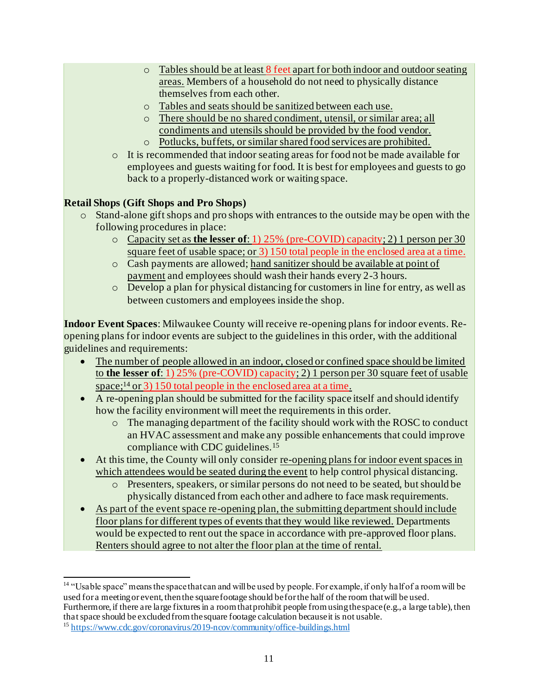- o Tables should be at least 8 feet apart for both indoor and outdoor seating areas. Members of a household do not need to physically distance themselves from each other.
- o Tables and seats should be sanitized between each use.
- o There should be no shared condiment, utensil, or similar area; all condiments and utensils should be provided by the food vendor.
- o Potlucks, buffets, or similar shared food services are prohibited.
- o It is recommended that indoor seating areas for food not be made available for employees and guests waiting for food. It is best for employees and guests to go back to a properly-distanced work or waiting space.

## **Retail Shops (Gift Shops and Pro Shops)**

- $\circ$  Stand-alone gift shops and pro shops with entrances to the outside may be open with the following procedures in place:
	- o Capacity set as **the lesser of**: 1) 25% (pre-COVID) capacity; 2) 1 person per 30 square feet of usable space; or 3) 150 total people in the enclosed area at a time.
	- o Cash payments are allowed; hand sanitizer should be available at point of payment and employees should wash their hands every 2-3 hours.
	- o Develop a plan for physical distancing for customers in line for entry, as well as between customers and employees inside the shop.

**Indoor Event Spaces**: Milwaukee County will receive re-opening plans for indoor events. Reopening plans for indoor events are subject to the guidelines in this order, with the additional guidelines and requirements:

- The number of people allowed in an indoor, closed or confined space should be limited to **the lesser of**: 1) 25% (pre-COVID) capacity; 2) 1 person per 30 square feet of usable space;<sup>14</sup> or 3) 150 total people in the enclosed area at a time.
- A re-opening plan should be submitted for the facility space itself and should identify how the facility environment will meet the requirements in this order.
	- o The managing department of the facility should work with the ROSC to conduct an HVAC assessment and make any possible enhancements that could improve compliance with CDC guidelines.<sup>15</sup>
- At this time, the County will only consider re-opening plans for indoor event spaces in which attendees would be seated during the event to help control physical distancing.
	- o Presenters, speakers, or similar persons do not need to be seated, but should be physically distanced from each other and adhere to face mask requirements.
- As part of the event space re-opening plan, the submitting department should include floor plans for different types of events that they would like reviewed. Departments would be expected to rent out the space in accordance with pre-approved floor plans. Renters should agree to not alter the floor plan at the time of rental.

<sup>&</sup>lt;sup>14</sup> "Usable space" means the space that can and will be used by people. For example, if only half of a room will be used for a meeting or event, then the square footage should be for the half of the room that will be used. Furthermore, if there are large fixtures in a room that prohibit people from using the space (e.g., a large table), then that space should be excluded from the square footage calculation because it is not usable.

<sup>15</sup> <https://www.cdc.gov/coronavirus/2019-ncov/community/office-buildings.html>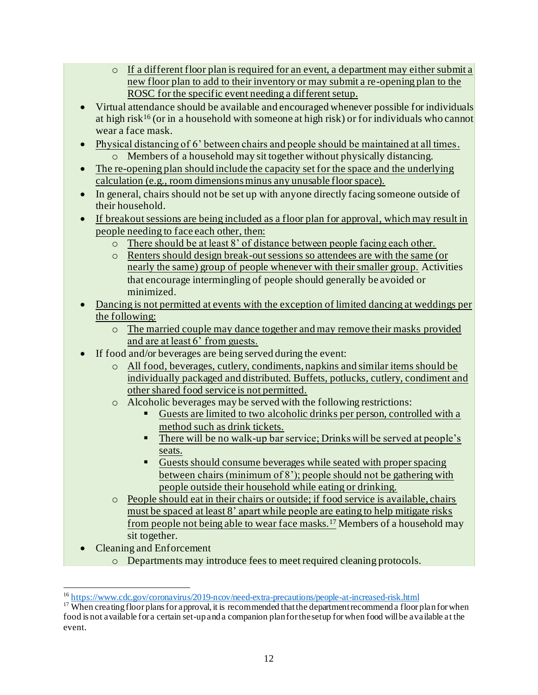- o If a different floor plan is required for an event, a department may either submit a new floor plan to add to their inventory or may submit a re-opening plan to the ROSC for the specific event needing a different setup.
- Virtual attendance should be available and encouraged whenever possible for individuals at high risk<sup>16</sup> (or in a household with someone at high risk) or for individuals who cannot wear a face mask.
- Physical distancing of 6' between chairs and people should be maintained at all times. o Members of a household may sit together without physically distancing.
- The re-opening plan should include the capacity set for the space and the underlying calculation (e.g., room dimensions minus any unusable floor space).
- In general, chairs should not be set up with anyone directly facing someone outside of their household.
- If breakout sessions are being included as a floor plan for approval, which may result in people needing to face each other, then:
	- o There should be at least 8' of distance between people facing each other.
	- o Renters should design break-out sessions so attendees are with the same (or nearly the same) group of people whenever with their smaller group. Activities that encourage intermingling of people should generally be avoided or minimized.
- Dancing is not permitted at events with the exception of limited dancing at weddings per the following:
	- o The married couple may dance together and may remove their masks provided and are at least 6' from guests.
- If food and/or beverages are being served during the event:
	- o All food, beverages, cutlery, condiments, napkins and similar items should be individually packaged and distributed. Buffets, potlucks, cutlery, condiment and other shared food service is not permitted.
	- o Alcoholic beverages may be served with the following restrictions:
		- Guests are limited to two alcoholic drinks per person, controlled with a method such as drink tickets.
		- **EXECUTE:** There will be no walk-up bar service; Drinks will be served at people's seats.
		- Guests should consume beverages while seated with proper spacing between chairs (minimum of 8'); people should not be gathering with people outside their household while eating or drinking.
	- o People should eat in their chairs or outside; if food service is available, chairs must be spaced at least 8' apart while people are eating to help mitigate risks from people not being able to wear face masks.<sup>17</sup> Members of a household may sit together.
- Cleaning and Enforcement
	- o Departments may introduce fees to meet required cleaning protocols.

<sup>16</sup> <https://www.cdc.gov/coronavirus/2019-ncov/need-extra-precautions/people-at-increased-risk.html>

 $17$  When creating floor plans for approval, it is recommended that the department recommend a floor plan for when food is not available for a certain set-up and a companion plan for the setup for when food will be available at the event.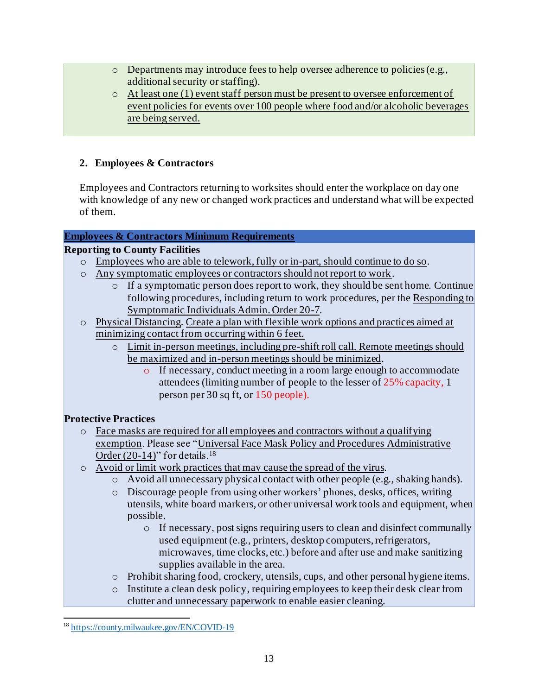- $\circ$  Departments may introduce fees to help oversee adherence to policies (e.g., additional security or staffing).
- o At least one (1) event staff person must be present to oversee enforcement of event policies for events over 100 people where food and/or alcoholic beverages are being served.

#### **2. Employees & Contractors**

Employees and Contractors returning to worksites should enter the workplace on day one with knowledge of any new or changed work practices and understand what will be expected of them.

#### **Employees & Contractors Minimum Requirements**

#### **Reporting to County Facilities**

- o Employees who are able to telework, fully or in-part, should continue to do so.
- o Any symptomatic employees or contractors should not report to work.
	- o If a symptomatic person does report to work, they should be sent home. Continue following procedures, including return to work procedures, per the [Responding to](https://countyconnect.milwaukeecountywi.gov/files/county/county-executive/RespondingtoConfirmedCOVID-19CasesorSymptomaticIndividualsandTheirCloseContacts20-7v11.pdf)  [Symptomatic Individuals Admin. Order 20-7](https://countyconnect.milwaukeecountywi.gov/files/county/county-executive/RespondingtoConfirmedCOVID-19CasesorSymptomaticIndividualsandTheirCloseContacts20-7v11.pdf).
- o Physical Distancing. Create a plan with flexible work options and practices aimed at minimizing contact from occurring within 6 feet.
	- o Limit in-person meetings, including pre-shift roll call. Remote meetings should be maximized and in-person meetings should be minimized.
		- o If necessary, conduct meeting in a room large enough to accommodate attendees (limiting number of people to the lesser of 25% capacity, 1 person per 30 sq ft, or 150 people).

#### **Protective Practices**

- o Face masks are required for all employees and contractors without a qualifying exemption. Please see ["Universal Face Mask Policy and Procedures Administrative](https://county.milwaukee.gov/EN/COVID-19)  Order  $(20-14)$ " for details.<sup>18</sup>
- o Avoid or limit work practices that may cause the spread of the virus.
	- o Avoid all unnecessary physical contact with other people (e.g., shaking hands).
	- o Discourage people from using other workers' phones, desks, offices, writing utensils, white board markers, or other universal work tools and equipment, when possible.
		- o If necessary, post signs requiring users to clean and disinfect communally used equipment (e.g., printers, desktop computers, refrigerators, microwaves, time clocks, etc.) before and after use and make sanitizing supplies available in the area.
	- o Prohibit sharing food, crockery, utensils, cups, and other personal hygiene items.
	- o Institute a clean desk policy, requiring employees to keep their desk clear from clutter and unnecessary paperwork to enable easier cleaning.

<sup>18</sup> <https://county.milwaukee.gov/EN/COVID-19>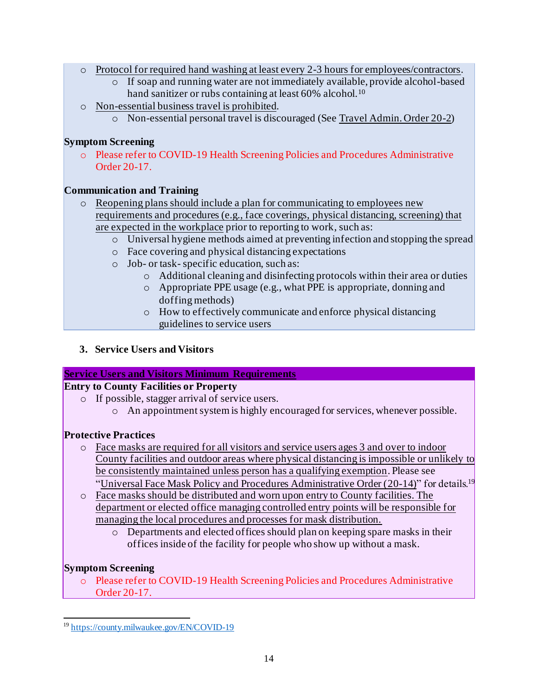- o Protocol for required hand washing at least every 2-3 hours for employees/contractors.
	- o If soap and running water are not immediately available, provide alcohol-based hand sanitizer or rubs containing at least 60% alcohol.<sup>10</sup>
- o Non-essential business travel is prohibited.
	- o Non-essential personal travel is discouraged (Se[e Travel Admin. Order 20-2](https://countyconnect.milwaukeecountywi.gov/files/county/COVID-19/TravelAdministrativeOrder20-2v2.pdf))

## **Symptom Screening**

o Please refer to COVID-19 Health Screening Policies and Procedures Administrative Order 20-17.

## **Communication and Training**

- o Reopening plans should include a plan for communicating to employees new requirements and procedures (e.g., face coverings, physical distancing, screening) that are expected in the workplace prior to reporting to work, such as:
	- o Universal hygiene methods aimed at preventing infection and stopping the spread
	- o Face covering and physical distancing expectations
	- o Job- or task- specific education, such as:
		- o Additional cleaning and disinfecting protocols within their area or duties
		- o Appropriate PPE usage (e.g., what PPE is appropriate, donning and doffing methods)
		- o How to effectively communicate and enforce physical distancing guidelines to service users
- **3. Service Users and Visitors**

## **Service Users and Visitors Minimum Requirements**

## **Entry to County Facilities or Property**

- o If possible, stagger arrival of service users.
	- o An appointment system is highly encouraged for services, whenever possible.

## **Protective Practices**

- o Face masks are required for all visitors and service users ages 3 and over to indoor County facilities and outdoor areas where physical distancing is impossible or unlikely to be consistently maintained unless person has a qualifying exemption. Please see ["Universal Face Mask Policy and Procedures Administrative Order \(20-14\)](https://county.milwaukee.gov/EN/COVID-19)" for details.<sup>19</sup>
- o Face masks should be distributed and worn upon entry to County facilities. The department or elected office managing controlled entry points will be responsible for managing the local procedures and processes for mask distribution.
	- $\circ$  Departments and elected offices should plan on keeping spare masks in their offices inside of the facility for people who show up without a mask.

## **Symptom Screening**

o Please refer to COVID-19 Health Screening Policies and Procedures Administrative Order 20-17.

<sup>19</sup> <https://county.milwaukee.gov/EN/COVID-19>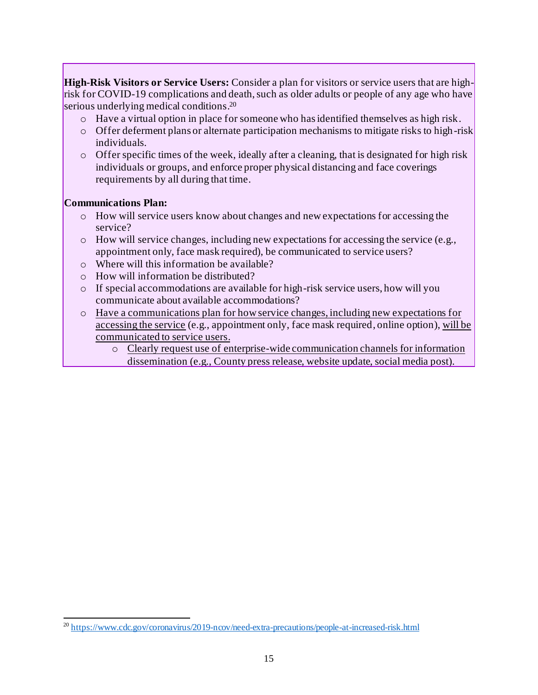**High-Risk Visitors or Service Users:** Consider a plan for visitors or service users that are highrisk for COVID-19 complications and death, such as older adults or people of any age who have serious underlying medical conditions. 20

- o Have a virtual option in place for someone who has identified themselves as high risk.
- $\circ$  Offer deferment plans or alternate participation mechanisms to mitigate risks to high-risk individuals.
- o Offer specific times of the week, ideally after a cleaning, that is designated for high risk individuals or groups, and enforce proper physical distancing and face coverings requirements by all during that time.

#### **Communications Plan:**

- o How will service users know about changes and new expectations for accessing the service?
- $\circ$  How will service changes, including new expectations for accessing the service (e.g., appointment only, face mask required), be communicated to service users?
- o Where will this information be available?
- o How will information be distributed?
- o If special accommodations are available for high-risk service users, how will you communicate about available accommodations?
- o Have a communications plan for how service changes, including new expectations for accessing the service (e.g., appointment only, face mask required, online option), will be communicated to service users.
	- o Clearly request use of enterprise-wide communication channels for information dissemination (e.g., County press release, website update, social media post).

<sup>&</sup>lt;sup>20</sup> <https://www.cdc.gov/coronavirus/2019-ncov/need-extra-precautions/people-at-increased-risk.html>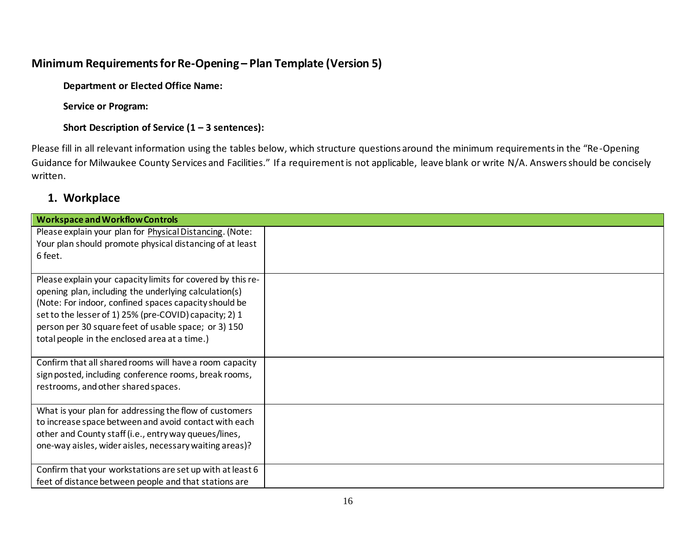# **Minimum Requirements for Re-Opening – Plan Template (Version 5)**

**Department or Elected Office Name:** 

**Service or Program:** 

**Short Description of Service (1 – 3 sentences):** 

Please fill in all relevant information using the tables below, which structure questions around the minimum requirements in the "Re-Opening Guidance for Milwaukee County Services and Facilities." If a requirement is not applicable, leave blank or write N/A. Answers should be concisely written.

## **1. Workplace**

| <b>Workspace and Workflow Controls</b>                      |  |
|-------------------------------------------------------------|--|
| Please explain your plan for Physical Distancing. (Note:    |  |
| Your plan should promote physical distancing of at least    |  |
| 6 feet.                                                     |  |
|                                                             |  |
| Please explain your capacity limits for covered by this re- |  |
| opening plan, including the underlying calculation(s)       |  |
| (Note: For indoor, confined spaces capacity should be       |  |
| set to the lesser of 1) 25% (pre-COVID) capacity; 2) 1      |  |
| person per 30 square feet of usable space; or 3) 150        |  |
| total people in the enclosed area at a time.)               |  |
|                                                             |  |
| Confirm that all shared rooms will have a room capacity     |  |
| sign posted, including conference rooms, break rooms,       |  |
| restrooms, and other shared spaces.                         |  |
|                                                             |  |
| What is your plan for addressing the flow of customers      |  |
| to increase space between and avoid contact with each       |  |
| other and County staff (i.e., entry way queues/lines,       |  |
| one-way aisles, wider aisles, necessary waiting areas)?     |  |
|                                                             |  |
| Confirm that your workstations are set up with at least 6   |  |
| feet of distance between people and that stations are       |  |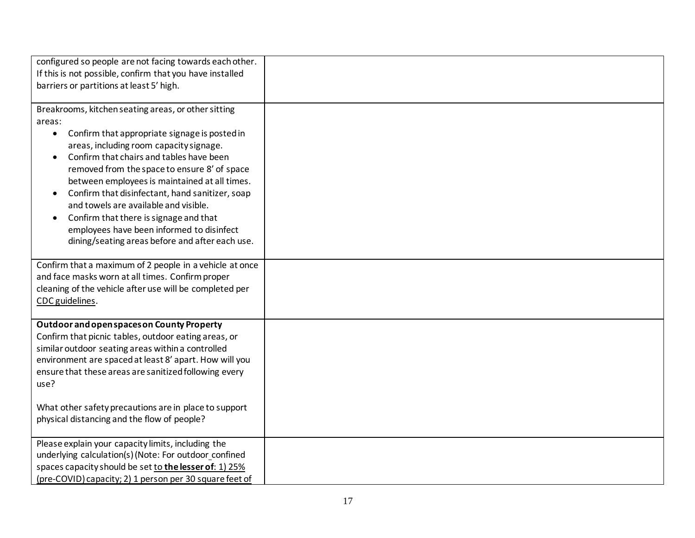| configured so people are not facing towards each other.                                                     |  |
|-------------------------------------------------------------------------------------------------------------|--|
| If this is not possible, confirm that you have installed                                                    |  |
| barriers or partitions at least 5' high.                                                                    |  |
|                                                                                                             |  |
| Breakrooms, kitchen seating areas, or other sitting                                                         |  |
| areas:                                                                                                      |  |
| Confirm that appropriate signage is posted in<br>$\bullet$                                                  |  |
| areas, including room capacity signage.                                                                     |  |
| Confirm that chairs and tables have been                                                                    |  |
| removed from the space to ensure 8' of space                                                                |  |
| between employees is maintained at all times.                                                               |  |
| Confirm that disinfectant, hand sanitizer, soap<br>and towels are available and visible.                    |  |
|                                                                                                             |  |
| Confirm that there is signage and that<br>$\bullet$<br>employees have been informed to disinfect            |  |
| dining/seating areas before and after each use.                                                             |  |
|                                                                                                             |  |
| Confirm that a maximum of 2 people in a vehicle at once                                                     |  |
| and face masks worn at all times. Confirm proper                                                            |  |
| cleaning of the vehicle after use will be completed per                                                     |  |
| CDC guidelines.                                                                                             |  |
|                                                                                                             |  |
| Outdoor and open spaces on County Property                                                                  |  |
| Confirm that picnic tables, outdoor eating areas, or                                                        |  |
| similar outdoor seating areas within a controlled<br>environment are spaced at least 8' apart. How will you |  |
| ensure that these areas are sanitized following every                                                       |  |
| use?                                                                                                        |  |
|                                                                                                             |  |
| What other safety precautions are in place to support                                                       |  |
| physical distancing and the flow of people?                                                                 |  |
|                                                                                                             |  |
| Please explain your capacity limits, including the                                                          |  |
| underlying calculation(s) (Note: For outdoor_confined                                                       |  |
| spaces capacity should be set to the lesser of: 1) 25%                                                      |  |
| (pre-COVID) capacity; 2) 1 person per 30 square feet of                                                     |  |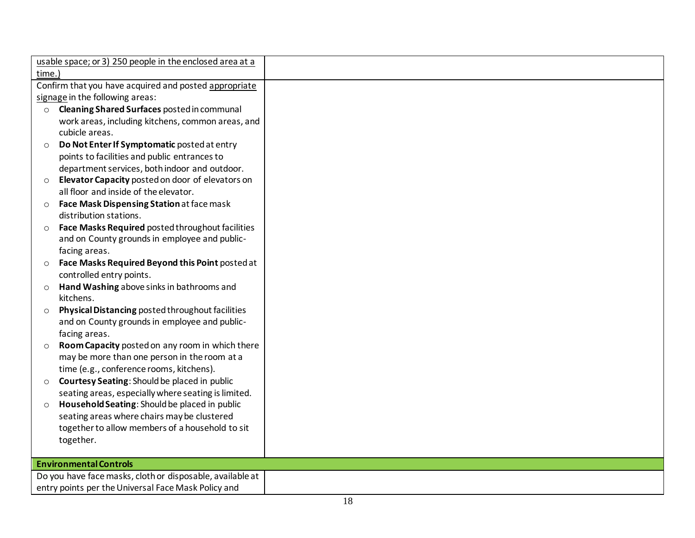|         | usable space; or 3) 250 people in the enclosed area at a         |  |
|---------|------------------------------------------------------------------|--|
| time.)  |                                                                  |  |
|         | Confirm that you have acquired and posted appropriate            |  |
|         | signage in the following areas:                                  |  |
| $\circ$ | Cleaning Shared Surfaces posted in communal                      |  |
|         | work areas, including kitchens, common areas, and                |  |
|         | cubicle areas.                                                   |  |
| $\circ$ | Do Not Enter If Symptomatic posted at entry                      |  |
|         | points to facilities and public entrances to                     |  |
|         | department services, both indoor and outdoor.                    |  |
| $\circ$ | Elevator Capacity posted on door of elevators on                 |  |
|         | all floor and inside of the elevator.                            |  |
| $\circ$ | Face Mask Dispensing Station at face mask                        |  |
|         | distribution stations.                                           |  |
|         | Face Masks Required posted throughout facilities                 |  |
|         | and on County grounds in employee and public-                    |  |
|         | facing areas.                                                    |  |
| $\circ$ | Face Masks Required Beyond this Point posted at                  |  |
|         | controlled entry points.                                         |  |
| $\circ$ | Hand Washing above sinks in bathrooms and                        |  |
|         | kitchens.                                                        |  |
| $\circ$ | Physical Distancing posted throughout facilities                 |  |
|         | and on County grounds in employee and public-                    |  |
|         | facing areas.<br>Room Capacity posted on any room in which there |  |
| $\circ$ | may be more than one person in the room at a                     |  |
|         | time (e.g., conference rooms, kitchens).                         |  |
| $\circ$ | Courtesy Seating: Should be placed in public                     |  |
|         | seating areas, especially where seating is limited.              |  |
| $\circ$ | Household Seating: Should be placed in public                    |  |
|         | seating areas where chairs may be clustered                      |  |
|         | together to allow members of a household to sit                  |  |
|         | together.                                                        |  |
|         |                                                                  |  |
|         | <b>Environmental Controls</b>                                    |  |
|         | Do you have face masks, cloth or disposable, available at        |  |
|         | entry points per the Universal Face Mask Policy and              |  |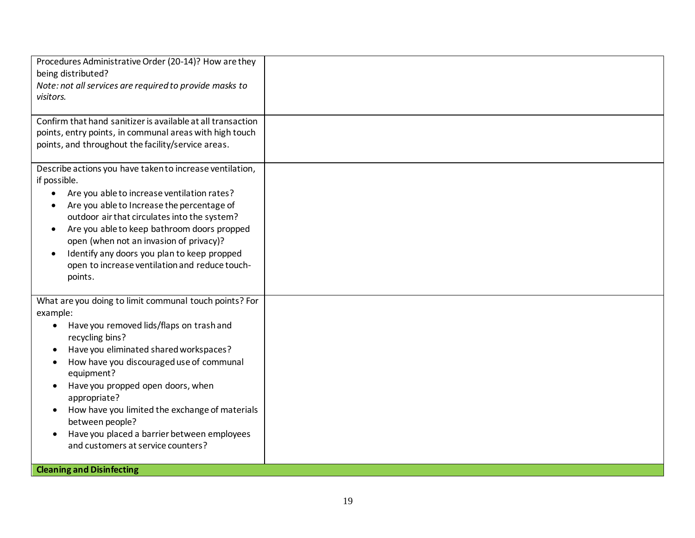| Procedures Administrative Order (20-14)? How are they<br>being distributed?<br>Note: not all services are required to provide masks to<br>visitors.                                                                                                                                                                                                                                                                                                                                                                |  |
|--------------------------------------------------------------------------------------------------------------------------------------------------------------------------------------------------------------------------------------------------------------------------------------------------------------------------------------------------------------------------------------------------------------------------------------------------------------------------------------------------------------------|--|
| Confirm that hand sanitizer is available at all transaction<br>points, entry points, in communal areas with high touch<br>points, and throughout the facility/service areas.                                                                                                                                                                                                                                                                                                                                       |  |
| Describe actions you have taken to increase ventilation,<br>if possible.<br>Are you able to increase ventilation rates?<br>$\bullet$<br>Are you able to Increase the percentage of<br>outdoor air that circulates into the system?<br>Are you able to keep bathroom doors propped<br>$\bullet$<br>open (when not an invasion of privacy)?<br>Identify any doors you plan to keep propped<br>$\bullet$<br>open to increase ventilation and reduce touch-<br>points.                                                 |  |
| What are you doing to limit communal touch points? For<br>example:<br>Have you removed lids/flaps on trash and<br>recycling bins?<br>Have you eliminated shared workspaces?<br>How have you discouraged use of communal<br>equipment?<br>Have you propped open doors, when<br>$\bullet$<br>appropriate?<br>How have you limited the exchange of materials<br>between people?<br>Have you placed a barrier between employees<br>$\bullet$<br>and customers at service counters?<br><b>Cleaning and Disinfecting</b> |  |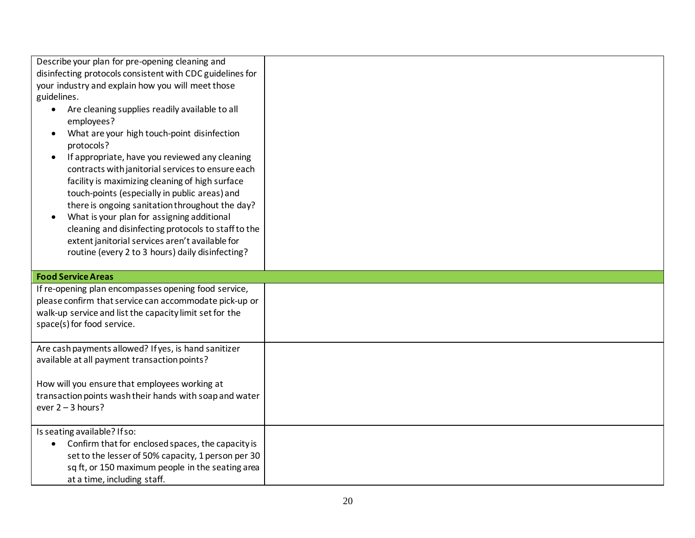| Describe your plan for pre-opening cleaning and                |  |
|----------------------------------------------------------------|--|
| disinfecting protocols consistent with CDC guidelines for      |  |
| your industry and explain how you will meet those              |  |
| guidelines.                                                    |  |
| Are cleaning supplies readily available to all<br>$\bullet$    |  |
| employees?                                                     |  |
| What are your high touch-point disinfection                    |  |
| protocols?                                                     |  |
| If appropriate, have you reviewed any cleaning<br>$\bullet$    |  |
| contracts with janitorial services to ensure each              |  |
| facility is maximizing cleaning of high surface                |  |
| touch-points (especially in public areas) and                  |  |
| there is ongoing sanitation throughout the day?                |  |
| What is your plan for assigning additional                     |  |
| cleaning and disinfecting protocols to staff to the            |  |
| extent janitorial services aren't available for                |  |
| routine (every 2 to 3 hours) daily disinfecting?               |  |
|                                                                |  |
|                                                                |  |
| <b>Food Service Areas</b>                                      |  |
| If re-opening plan encompasses opening food service,           |  |
| please confirm that service can accommodate pick-up or         |  |
| walk-up service and list the capacity limit set for the        |  |
| space(s) for food service.                                     |  |
|                                                                |  |
| Are cash payments allowed? If yes, is hand sanitizer           |  |
| available at all payment transaction points?                   |  |
|                                                                |  |
| How will you ensure that employees working at                  |  |
| transaction points wash their hands with soap and water        |  |
| ever $2 - 3$ hours?                                            |  |
| Is seating available? If so:                                   |  |
| Confirm that for enclosed spaces, the capacity is<br>$\bullet$ |  |
| set to the lesser of 50% capacity, 1 person per 30             |  |
| sq ft, or 150 maximum people in the seating area               |  |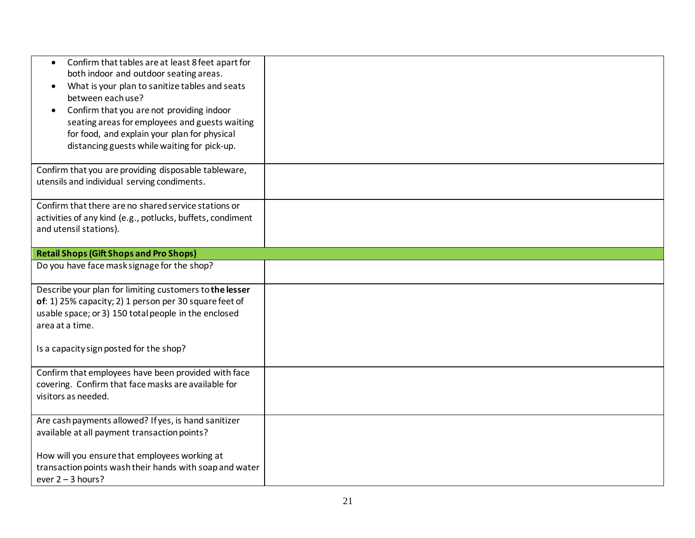| Confirm that tables are at least 8 feet apart for<br>$\bullet$<br>both indoor and outdoor seating areas.<br>What is your plan to sanitize tables and seats<br>$\bullet$<br>between each use?<br>Confirm that you are not providing indoor<br>seating areas for employees and guests waiting<br>for food, and explain your plan for physical<br>distancing guests while waiting for pick-up. |  |
|---------------------------------------------------------------------------------------------------------------------------------------------------------------------------------------------------------------------------------------------------------------------------------------------------------------------------------------------------------------------------------------------|--|
| Confirm that you are providing disposable tableware,<br>utensils and individual serving condiments.                                                                                                                                                                                                                                                                                         |  |
| Confirm that there are no shared service stations or<br>activities of any kind (e.g., potlucks, buffets, condiment<br>and utensil stations).                                                                                                                                                                                                                                                |  |
| <b>Retail Shops (Gift Shops and Pro Shops)</b>                                                                                                                                                                                                                                                                                                                                              |  |
| Do you have face mask signage for the shop?                                                                                                                                                                                                                                                                                                                                                 |  |
| Describe your plan for limiting customers to the lesser<br>of: 1) 25% capacity; 2) 1 person per 30 square feet of<br>usable space; or 3) 150 total people in the enclosed<br>area at a time.<br>Is a capacity sign posted for the shop?                                                                                                                                                     |  |
|                                                                                                                                                                                                                                                                                                                                                                                             |  |
| Confirm that employees have been provided with face<br>covering. Confirm that face masks are available for<br>visitors as needed.                                                                                                                                                                                                                                                           |  |
| Are cash payments allowed? If yes, is hand sanitizer<br>available at all payment transaction points?                                                                                                                                                                                                                                                                                        |  |
| How will you ensure that employees working at<br>transaction points wash their hands with soap and water<br>ever $2 - 3$ hours?                                                                                                                                                                                                                                                             |  |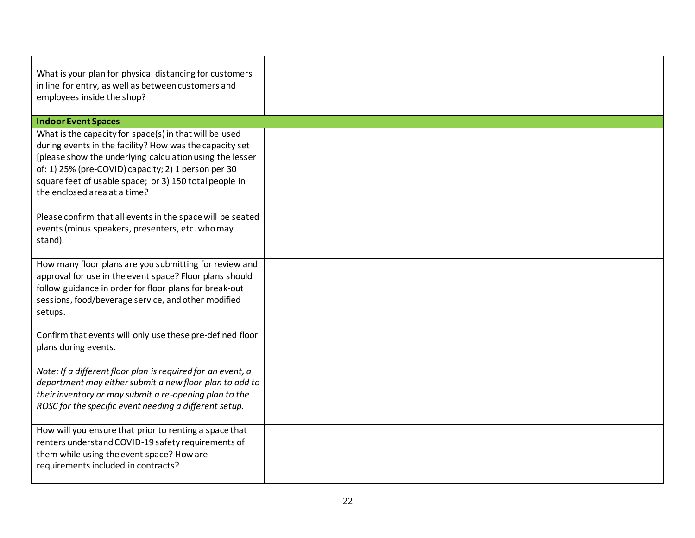| What is your plan for physical distancing for customers                                                                                                                                                                                                                                                                        |  |
|--------------------------------------------------------------------------------------------------------------------------------------------------------------------------------------------------------------------------------------------------------------------------------------------------------------------------------|--|
| in line for entry, as well as between customers and                                                                                                                                                                                                                                                                            |  |
| employees inside the shop?                                                                                                                                                                                                                                                                                                     |  |
| <b>Indoor Event Spaces</b>                                                                                                                                                                                                                                                                                                     |  |
| What is the capacity for space(s) in that will be used<br>during events in the facility? How was the capacity set<br>[please show the underlying calculation using the lesser<br>of: 1) 25% (pre-COVID) capacity; 2) 1 person per 30<br>square feet of usable space; or 3) 150 total people in<br>the enclosed area at a time? |  |
| Please confirm that all events in the space will be seated<br>events (minus speakers, presenters, etc. who may<br>stand).                                                                                                                                                                                                      |  |
| How many floor plans are you submitting for review and<br>approval for use in the event space? Floor plans should<br>follow guidance in order for floor plans for break-out<br>sessions, food/beverage service, and other modified<br>setups.                                                                                  |  |
| Confirm that events will only use these pre-defined floor<br>plans during events.                                                                                                                                                                                                                                              |  |
| Note: If a different floor plan is required for an event, a<br>department may either submit a new floor plan to add to<br>their inventory or may submit a re-opening plan to the<br>ROSC for the specific event needing a different setup.                                                                                     |  |
| How will you ensure that prior to renting a space that<br>renters understand COVID-19 safety requirements of<br>them while using the event space? How are<br>requirements included in contracts?                                                                                                                               |  |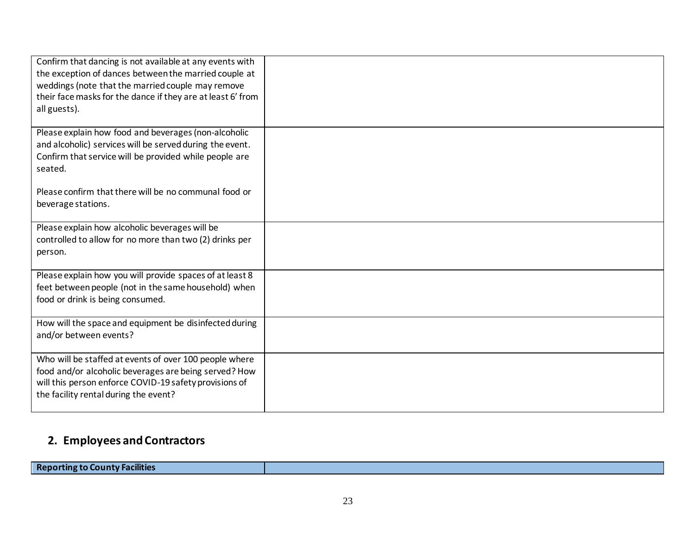| Confirm that dancing is not available at any events with<br>the exception of dances between the married couple at<br>weddings (note that the married couple may remove<br>their face masks for the dance if they are at least 6' from<br>all guests). |  |
|-------------------------------------------------------------------------------------------------------------------------------------------------------------------------------------------------------------------------------------------------------|--|
| Please explain how food and beverages (non-alcoholic<br>and alcoholic) services will be served during the event.<br>Confirm that service will be provided while people are<br>seated.                                                                 |  |
| Please confirm that there will be no communal food or<br>beverage stations.                                                                                                                                                                           |  |
| Please explain how alcoholic beverages will be<br>controlled to allow for no more than two (2) drinks per<br>person.                                                                                                                                  |  |
| Please explain how you will provide spaces of at least 8<br>feet between people (not in the same household) when<br>food or drink is being consumed.                                                                                                  |  |
| How will the space and equipment be disinfected during<br>and/or between events?                                                                                                                                                                      |  |
| Who will be staffed at events of over 100 people where<br>food and/or alcoholic beverages are being served? How<br>will this person enforce COVID-19 safety provisions of<br>the facility rental during the event?                                    |  |

# **2. Employees and Contractors**

**Reporting to County Facilities**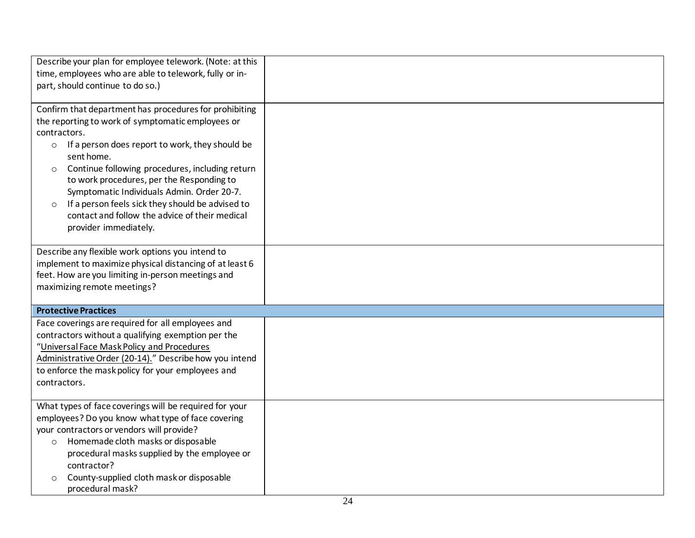| Describe your plan for employee telework. (Note: at this<br>time, employees who are able to telework, fully or in-<br>part, should continue to do so.)                                                                                                                                                                                                                                                                                                                                                     |  |
|------------------------------------------------------------------------------------------------------------------------------------------------------------------------------------------------------------------------------------------------------------------------------------------------------------------------------------------------------------------------------------------------------------------------------------------------------------------------------------------------------------|--|
| Confirm that department has procedures for prohibiting<br>the reporting to work of symptomatic employees or<br>contractors.<br>If a person does report to work, they should be<br>$\circ$<br>sent home.<br>Continue following procedures, including return<br>$\circ$<br>to work procedures, per the Responding to<br>Symptomatic Individuals Admin. Order 20-7.<br>If a person feels sick they should be advised to<br>$\circ$<br>contact and follow the advice of their medical<br>provider immediately. |  |
| Describe any flexible work options you intend to<br>implement to maximize physical distancing of at least 6<br>feet. How are you limiting in-person meetings and<br>maximizing remote meetings?                                                                                                                                                                                                                                                                                                            |  |
| <b>Protective Practices</b>                                                                                                                                                                                                                                                                                                                                                                                                                                                                                |  |
| Face coverings are required for all employees and<br>contractors without a qualifying exemption per the<br>"Universal Face Mask Policy and Procedures<br>Administrative Order (20-14)." Describe how you intend<br>to enforce the mask policy for your employees and<br>contractors.                                                                                                                                                                                                                       |  |
| What types of face coverings will be required for your<br>employees? Do you know what type of face covering<br>your contractors or vendors will provide?<br>Homemade cloth masks or disposable<br>$\circ$<br>procedural masks supplied by the employee or<br>contractor?<br>County-supplied cloth mask or disposable<br>$\circ$<br>procedural mask?                                                                                                                                                        |  |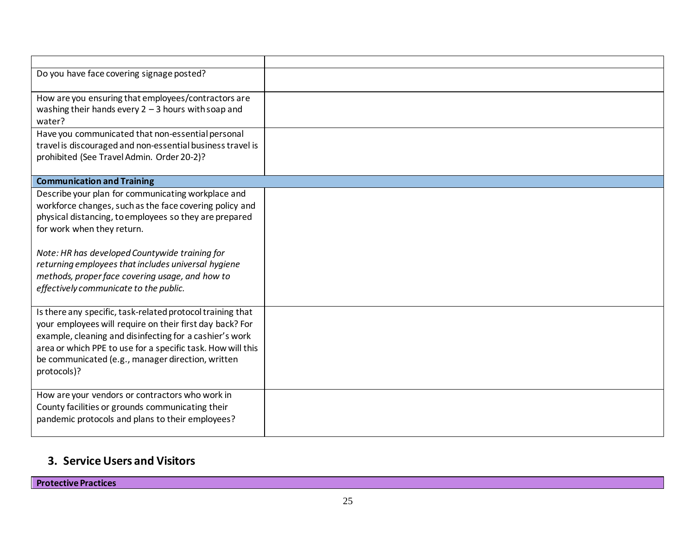| Do you have face covering signage posted?                   |  |
|-------------------------------------------------------------|--|
|                                                             |  |
| How are you ensuring that employees/contractors are         |  |
| washing their hands every $2 - 3$ hours with soap and       |  |
| water?                                                      |  |
| Have you communicated that non-essential personal           |  |
|                                                             |  |
| travel is discouraged and non-essential business travel is  |  |
| prohibited (See Travel Admin. Order 20-2)?                  |  |
|                                                             |  |
| <b>Communication and Training</b>                           |  |
| Describe your plan for communicating workplace and          |  |
| workforce changes, such as the face covering policy and     |  |
| physical distancing, to employees so they are prepared      |  |
| for work when they return.                                  |  |
|                                                             |  |
|                                                             |  |
| Note: HR has developed Countywide training for              |  |
| returning employees that includes universal hygiene         |  |
| methods, proper face covering usage, and how to             |  |
| effectively communicate to the public.                      |  |
|                                                             |  |
| Is there any specific, task-related protocol training that  |  |
| your employees will require on their first day back? For    |  |
| example, cleaning and disinfecting for a cashier's work     |  |
| area or which PPE to use for a specific task. How will this |  |
| be communicated (e.g., manager direction, written           |  |
|                                                             |  |
| protocols)?                                                 |  |
|                                                             |  |
| How are your vendors or contractors who work in             |  |
| County facilities or grounds communicating their            |  |
| pandemic protocols and plans to their employees?            |  |
|                                                             |  |
|                                                             |  |

# **3. Service Users and Visitors**

**Protective Practices**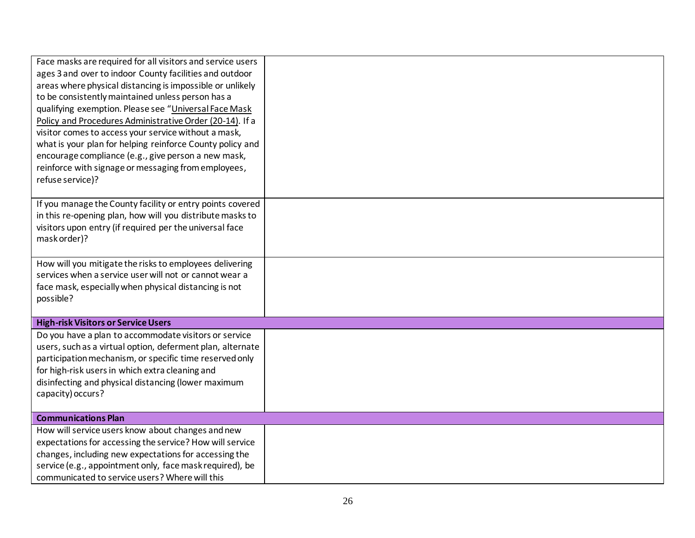| Face masks are required for all visitors and service users |  |
|------------------------------------------------------------|--|
| ages 3 and over to indoor County facilities and outdoor    |  |
| areas where physical distancing is impossible or unlikely  |  |
| to be consistently maintained unless person has a          |  |
| qualifying exemption. Please see "Universal Face Mask      |  |
| Policy and Procedures Administrative Order (20-14). If a   |  |
| visitor comes to access your service without a mask,       |  |
| what is your plan for helping reinforce County policy and  |  |
| encourage compliance (e.g., give person a new mask,        |  |
| reinforce with signage or messaging from employees,        |  |
| refuse service)?                                           |  |
|                                                            |  |
| If you manage the County facility or entry points covered  |  |
| in this re-opening plan, how will you distribute masks to  |  |
| visitors upon entry (if required per the universal face    |  |
| mask order)?                                               |  |
|                                                            |  |
| How will you mitigate the risks to employees delivering    |  |
| services when a service user will not or cannot wear a     |  |
| face mask, especially when physical distancing is not      |  |
| possible?                                                  |  |
|                                                            |  |
| <b>High-risk Visitors or Service Users</b>                 |  |
| Do you have a plan to accommodate visitors or service      |  |
| users, such as a virtual option, deferment plan, alternate |  |
| participation mechanism, or specific time reserved only    |  |
| for high-risk users in which extra cleaning and            |  |
| disinfecting and physical distancing (lower maximum        |  |
| capacity) occurs?                                          |  |
|                                                            |  |
| <b>Communications Plan</b>                                 |  |
| How will service users know about changes and new          |  |
| expectations for accessing the service? How will service   |  |
| changes, including new expectations for accessing the      |  |
| service (e.g., appointment only, face mask required), be   |  |
| communicated to service users? Where will this             |  |